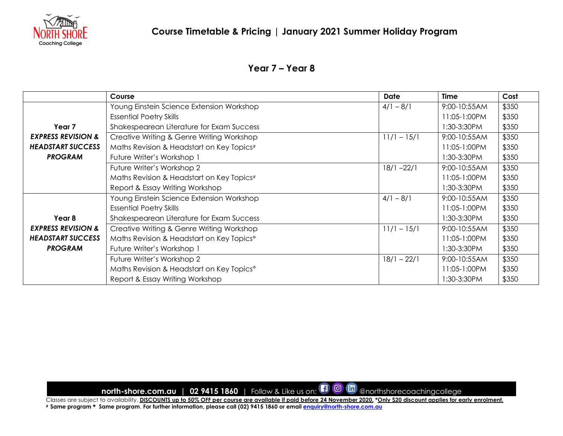

### **Year 7 – Year 8**

|                               | Course                                                | <b>Date</b>   | Time         | Cost  |
|-------------------------------|-------------------------------------------------------|---------------|--------------|-------|
|                               | Young Einstein Science Extension Workshop             | $4/1 - 8/1$   | 9:00-10:55AM | \$350 |
|                               | <b>Essential Poetry Skills</b>                        |               | 11:05-1:00PM | \$350 |
| Year 7                        | Shakespearean Literature for Exam Success             |               | 1:30-3:30PM  | \$350 |
| <b>EXPRESS REVISION &amp;</b> | Creative Writing & Genre Writing Workshop             | $11/1 - 15/1$ | 9:00-10:55AM | \$350 |
| <b>HEADSTART SUCCESS</b>      | Maths Revision & Headstart on Key Topics#             |               | 11:05-1:00PM | \$350 |
| <b>PROGRAM</b>                | Future Writer's Workshop 1                            |               | 1:30-3:30PM  | \$350 |
|                               | Future Writer's Workshop 2                            | $18/1 - 22/1$ | 9:00-10:55AM | \$350 |
|                               | Maths Revision & Headstart on Key Topics#             |               | 11:05-1:00PM | \$350 |
|                               | Report & Essay Writing Workshop                       |               | 1:30-3:30PM  | \$350 |
|                               | Young Einstein Science Extension Workshop             | $4/1 - 8/1$   | 9:00-10:55AM | \$350 |
|                               | <b>Essential Poetry Skills</b>                        |               | 11:05-1:00PM | \$350 |
| Year 8                        | Shakespearean Literature for Exam Success             |               | 1:30-3:30PM  | \$350 |
| <b>EXPRESS REVISION &amp;</b> | Creative Writing & Genre Writing Workshop             | $11/1 - 15/1$ | 9:00-10:55AM | \$350 |
| <b>HEADSTART SUCCESS</b>      | Maths Revision & Headstart on Key Topics <sup>*</sup> |               | 11:05-1:00PM | \$350 |
| <b>PROGRAM</b>                | Future Writer's Workshop 1                            |               | 1:30-3:30PM  | \$350 |
|                               | Future Writer's Workshop 2                            | $18/1 - 22/1$ | 9:00-10:55AM | \$350 |
|                               | Maths Revision & Headstart on Key Topics <sup>*</sup> |               | 11:05-1:00PM | \$350 |
|                               | Report & Essay Writing Workshop                       |               | 1:30-3:30PM  | \$350 |

**north-shore.com.au | 02 9415 1860** | Follow & Like us on:  $\Box$  @  $\Box$  @northshorecoachingcollege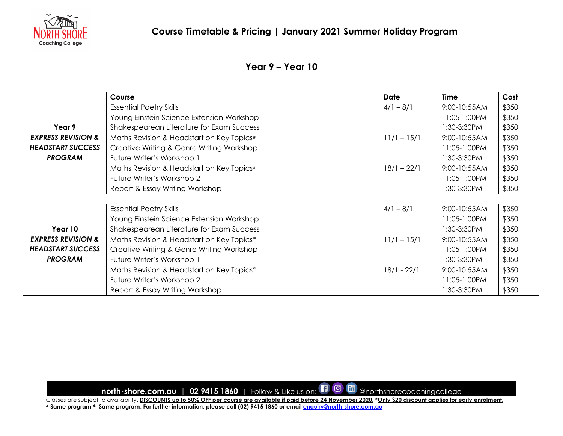

# **Year 9 – Year 10**

|                               | Course                                                | Date          | <b>Time</b>  | Cost  |
|-------------------------------|-------------------------------------------------------|---------------|--------------|-------|
|                               | <b>Essential Poetry Skills</b>                        | $4/1 - 8/1$   | 9:00-10:55AM | \$350 |
|                               | Young Einstein Science Extension Workshop             |               | 11:05-1:00PM | \$350 |
| Year 9                        | Shakespearean Literature for Exam Success             |               | 1:30-3:30PM  | \$350 |
| <b>EXPRESS REVISION &amp;</b> | Maths Revision & Headstart on Key Topics#             | $11/1 - 15/1$ | 9:00-10:55AM | \$350 |
| <b>HEADSTART SUCCESS</b>      | Creative Writing & Genre Writing Workshop             |               | 11:05-1:00PM | \$350 |
| <b>PROGRAM</b>                | Future Writer's Workshop 1                            |               | 1:30-3:30PM  | \$350 |
|                               | Maths Revision & Headstart on Key Topics#             | $18/1 - 22/1$ | 9:00-10:55AM | \$350 |
|                               | Future Writer's Workshop 2                            |               | 11:05-1:00PM | \$350 |
|                               | Report & Essay Writing Workshop                       |               | 1:30-3:30PM  | \$350 |
|                               |                                                       |               |              |       |
|                               | <b>Essential Poetry Skills</b>                        | $4/1 - 8/1$   | 9:00-10:55AM | \$350 |
|                               | Young Einstein Science Extension Workshop             |               | 11:05-1:00PM | \$350 |
| Year 10                       | Shakespearean Literature for Exam Success             |               | 1:30-3:30PM  | \$350 |
| <b>EXPRESS REVISION &amp;</b> | Maths Revision & Headstart on Key Topics <sup>*</sup> | $11/1 - 15/1$ | 9:00-10:55AM | \$350 |
| <b>HEADSTART SUCCESS</b>      | Creative Writing & Genre Writing Workshop             |               | 11:05-1:00PM | \$350 |
| <b>PROGRAM</b>                | Future Writer's Workshop 1                            |               | 1:30-3:30PM  | \$350 |
|                               | Maths Revision & Headstart on Key Topics <sup>*</sup> | $18/1 - 22/1$ | 9:00-10:55AM | \$350 |
|                               | Future Writer's Workshop 2                            |               | 11:05-1:00PM | \$350 |
|                               | Report & Essay Writing Workshop                       |               | 1:30-3:30PM  | \$350 |

**north-shore.com.au | 02 9415 1860** | Follow & Like us on:  $\Box$  @  $\Box$  @northshorecoachingcollege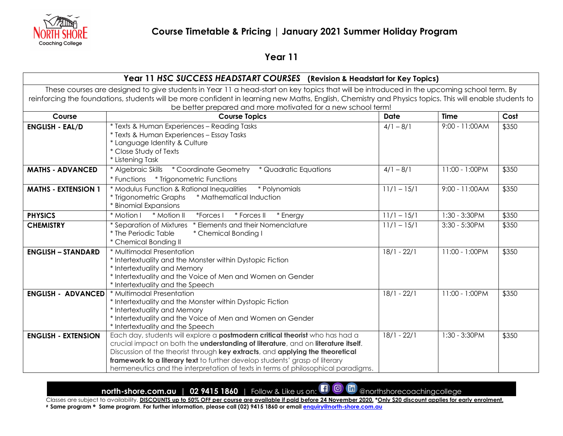

# **Year 11**

#### **Year 11** *HSC SUCCESS HEADSTART COURSES* **(Revision & Headstart for Key Topics)**

These courses are designed to give students in Year 11 a head-start on key topics that will be introduced in the upcoming school term. By reinforcing the foundations, students will be more confident in learning new Maths, English, Chemistry and Physics topics. This will enable students to be better prepared and more motivated for a new school term!

| Course                     | <b>Course Topics</b>                                                                                                                                                                                                                                                                                                                                                                                                          | <b>Date</b>              | <b>Time</b>    | Cost  |
|----------------------------|-------------------------------------------------------------------------------------------------------------------------------------------------------------------------------------------------------------------------------------------------------------------------------------------------------------------------------------------------------------------------------------------------------------------------------|--------------------------|----------------|-------|
| <b>ENGLISH - EAL/D</b>     | * Texts & Human Experiences - Reading Tasks<br>* Texts & Human Experiences - Essay Tasks<br>* Language Identity & Culture<br>* Close Study of Texts<br>* Listening Task                                                                                                                                                                                                                                                       | $4/1 - 8/1$              | 9:00 - 11:00AM | \$350 |
| <b>MATHS - ADVANCED</b>    | * Algebraic Skills * Coordinate Geometry<br>* Quadratic Equations                                                                                                                                                                                                                                                                                                                                                             | $4/1 - 8/1$              | 11:00 - 1:00PM | \$350 |
| <b>MATHS - EXTENSION 1</b> | * Modulus Function & Rational Inequalities<br>* Polynomials<br>* Trigonometric Graphs<br>* Mathematical Induction<br>* Binomial Expansions                                                                                                                                                                                                                                                                                    | $11/1 - 15/1$            | 9:00 - 11:00AM | \$350 |
| <b>PHYSICS</b>             | * Motion I<br>* Motion II<br>*Forces I<br>* Forces II<br>* Energy                                                                                                                                                                                                                                                                                                                                                             | $11/1 - 15/1$            | 1:30 - 3:30PM  | \$350 |
| <b>CHEMISTRY</b>           | * Elements and their Nomenclature<br>* Separation of Mixtures<br>* The Periodic Table<br>* Chemical Bonding I<br>* Chemical Bonding II                                                                                                                                                                                                                                                                                        | $11/1 - 15/1$            | 3:30 - 5:30PM  | \$350 |
| <b>ENGLISH - STANDARD</b>  | * Multimodal Presentation<br>* Intertextuality and the Monster within Dystopic Fiction<br>* Intertextuality and Memory<br>* Intertextuality and the Voice of Men and Women on Gender<br>* Intertextuality and the Speech                                                                                                                                                                                                      | $18/1 - 22/1$            | 11:00 - 1:00PM | \$350 |
| <b>ENGLISH - ADVANCED</b>  | * Multimodal Presentation<br>* Intertextuality and the Monster within Dystopic Fiction<br>* Intertextuality and Memory<br>* Intertextuality and the Voice of Men and Women on Gender<br>* Intertextuality and the Speech                                                                                                                                                                                                      | $18/1 - 22/1$            | 11:00 - 1:00PM | \$350 |
| <b>ENGLISH - EXTENSION</b> | Each day, students will explore a <b>postmodern critical theorist</b> who has had a<br>crucial impact on both the understanding of literature, and on literature itself.<br>Discussion of the theorist through key extracts, and applying the theoretical<br>framework to a literary text to further develop students' grasp of literary<br>hermeneutics and the interpretation of texts in terms of philosophical paradigms. | $\overline{18/1} - 22/1$ | 1:30 - 3:30PM  | \$350 |

**north-shore.com.au** | 02 9415 1860 | Follow & Like us on:  $\Box$  @  $\Box$  @northshorecoachingcollege